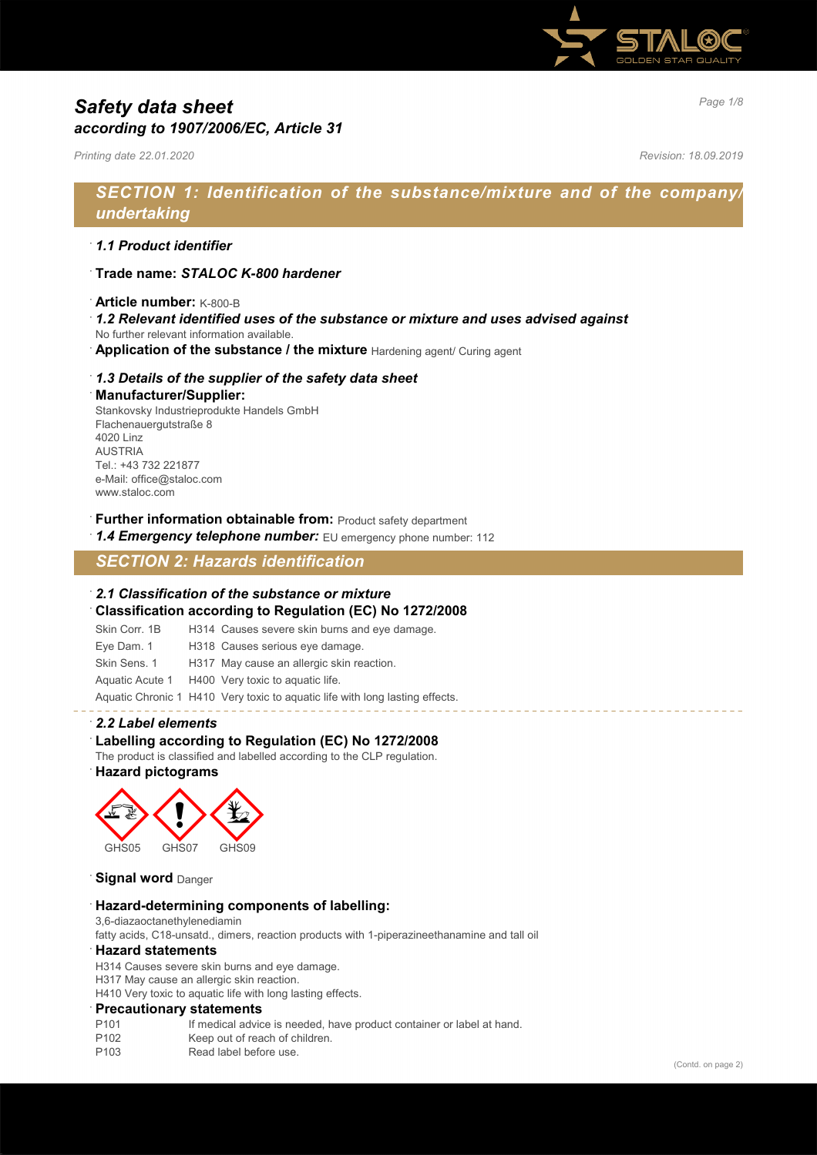

# *Page 1/8 Safety data sheet according to 1907/2006/EC, Article 31*

*Printing date 22.01.2020 Revision: 18.09.2019*

# *SECTION 1: Identification of the substance/mixture and of the company/ undertaking*

### · *1.1 Product identifier*

- · **Trade name:** *STALOC K-800 hardener*
- · **Article number:** K-800-B
- · *1.2 Relevant identified uses of the substance or mixture and uses advised against*
- No further relevant information available.
- Application of the substance / the mixture Hardening agent/ Curing agent

#### · *1.3 Details of the supplier of the safety data sheet*

#### · **Manufacturer/Supplier:**

Stankovsky Industrieprodukte Handels GmbH Flachenauergutstraße 8 4020 Linz AUSTRIA Tel.: +43 732 221877 e-Mail: office@staloc.com www.staloc.com

- **Further information obtainable from:** Product safety department
- 1.4 **Emergency telephone number:** EU emergency phone number: 112

# *SECTION 2: Hazards identification*

#### · *2.1 Classification of the substance or mixture*

- · **Classification according to Regulation (EC) No 1272/2008**
- Skin Corr. 1B H314 Causes severe skin burns and eye damage.
- Eye Dam. 1 H318 Causes serious eye damage.
- Skin Sens. 1 H317 May cause an allergic skin reaction.
- Aquatic Acute 1 H400 Very toxic to aquatic life.

Aquatic Chronic 1 H410 Very toxic to aquatic life with long lasting effects.

#### · *2.2 Label elements*

### Labelling according to Regulation (EC) No 1272/2008

The product is classified and labelled according to the CLP regulation.

### · **Hazard pictograms**



**Signal word** Danger

#### · **Hazard-determining components of labelling:**

3,6-diazaoctanethylenediamin

fatty acids, C18-unsatd., dimers, reaction products with 1-piperazineethanamine and tall oil

#### · **Hazard statements**

H314 Causes severe skin burns and eye damage.

H317 May cause an allergic skin reaction.

H410 Very toxic to aquatic life with long lasting effects.

#### · **Precautionary statements**

- P101 If medical advice is needed, have product container or label at hand.<br>P102 Keep out of reach of children
- Keep out of reach of children.
- P103 Read label before use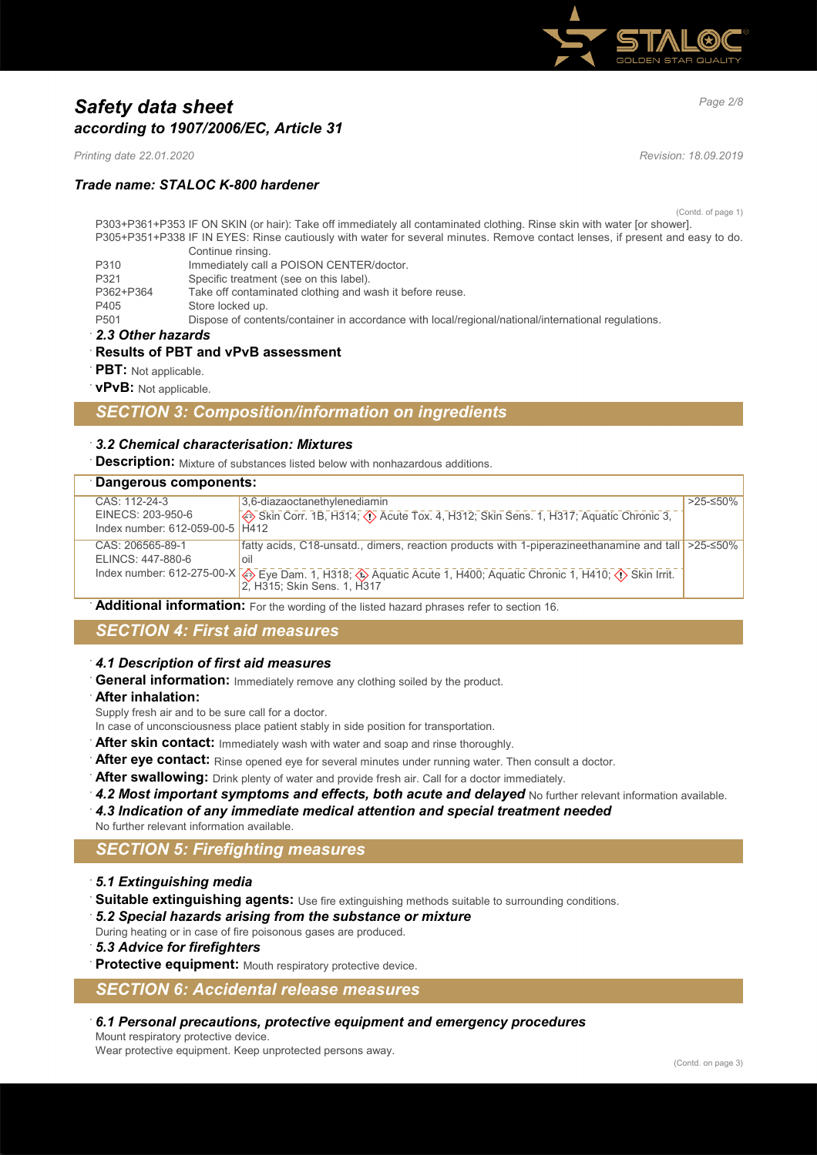

# *Page 2/8 Safety data sheet according to 1907/2006/EC, Article 31*

*Printing date 22.01.2020 Revision: 18.09.2019*

### *Trade name: STALOC K-800 hardener*

(Contd. of page 1)

- P303+P361+P353 IF ON SKIN (or hair): Take off immediately all contaminated clothing. Rinse skin with water [or shower]. P305+P351+P338 IF IN EYES: Rinse cautiously with water for several minutes. Remove contact lenses, if present and easy to do. Continue rinsing. P310 Immediately call a POISON CENTER/doctor. P321 Specific treatment (see on this label).<br>P362+P364 Take off contaminated clothing and w P362+P364 Take off contaminated clothing and wash it before reuse.<br>P405 Store locked up
	- Store locked up.
- P501 Dispose of contents/container in accordance with local/regional/national/international regulations.
- · *2.3 Other hazards*

#### · **Results of PBT and vPvB assessment**

- **PBT:** Not applicable.
- · **vPvB:** Not applicable.

### *SECTION 3: Composition/information on ingredients*

#### · *3.2 Chemical characterisation: Mixtures*

**Description:** Mixture of substances listed below with nonhazardous additions.

| Dangerous components: |                                   |                                                                                                                                                                                 |          |
|-----------------------|-----------------------------------|---------------------------------------------------------------------------------------------------------------------------------------------------------------------------------|----------|
|                       | CAS: 112-24-3                     | 3.6-diazaoctanethylenediamin                                                                                                                                                    | >25-≤50% |
|                       | EINECS: 203-950-6                 | Skin Corr. 1B, H314; $\overline{()}$ Acute Tox. 4, H312; Skin Sens. 1, H317; Aquatic Chronic 3,                                                                                 |          |
|                       | Index number: $612-059-00-5$ H412 |                                                                                                                                                                                 |          |
|                       | CAS: 206565-89-1                  | fatty acids, C18-unsatd., dimers, reaction products with 1-piperazineethanamine and tall   >25-≤50%                                                                             |          |
|                       | ELINCS: 447-880-6                 | oil                                                                                                                                                                             |          |
|                       |                                   | Index number: 612-275-00-X $\bigotimes_{2} \text{Eye Dam. 1, H318; } \bigotimes_{3} \text{ Aquatic Acute 1, H400; Aquatic Chronic 1, H410; } \bigotimes_{1} \text{Skin Irrit.}$ |          |

Additional information: For the wording of the listed hazard phrases refer to section 16.

# *SECTION 4: First aid measures*

#### · *4.1 Description of first aid measures*

**General information:** Immediately remove any clothing soiled by the product.

· **After inhalation:**

Supply fresh air and to be sure call for a doctor.

In case of unconsciousness place patient stably in side position for transportation.

- **After skin contact:** Immediately wash with water and soap and rinse thoroughly.
- After eye contact: Rinse opened eye for several minutes under running water. Then consult a doctor.
- After swallowing: Drink plenty of water and provide fresh air. Call for a doctor immediately.
- 4.2 Most important symptoms and effects, both acute and delayed No further relevant information available.

· *4.3 Indication of any immediate medical attention and special treatment needed* No further relevant information available.

### *SECTION 5: Firefighting measures*

- · *5.1 Extinguishing media*
- · **Suitable extinguishing agents:** Use fire extinguishing methods suitable to surrounding conditions.
- · *5.2 Special hazards arising from the substance or mixture*
- During heating or in case of fire poisonous gases are produced.
- · *5.3 Advice for firefighters*

Protective equipment: Mouth respiratory protective device.

### *SECTION 6: Accidental release measures*

· *6.1 Personal precautions, protective equipment and emergency procedures*

Mount respiratory protective device.

Wear protective equipment. Keep unprotected persons away.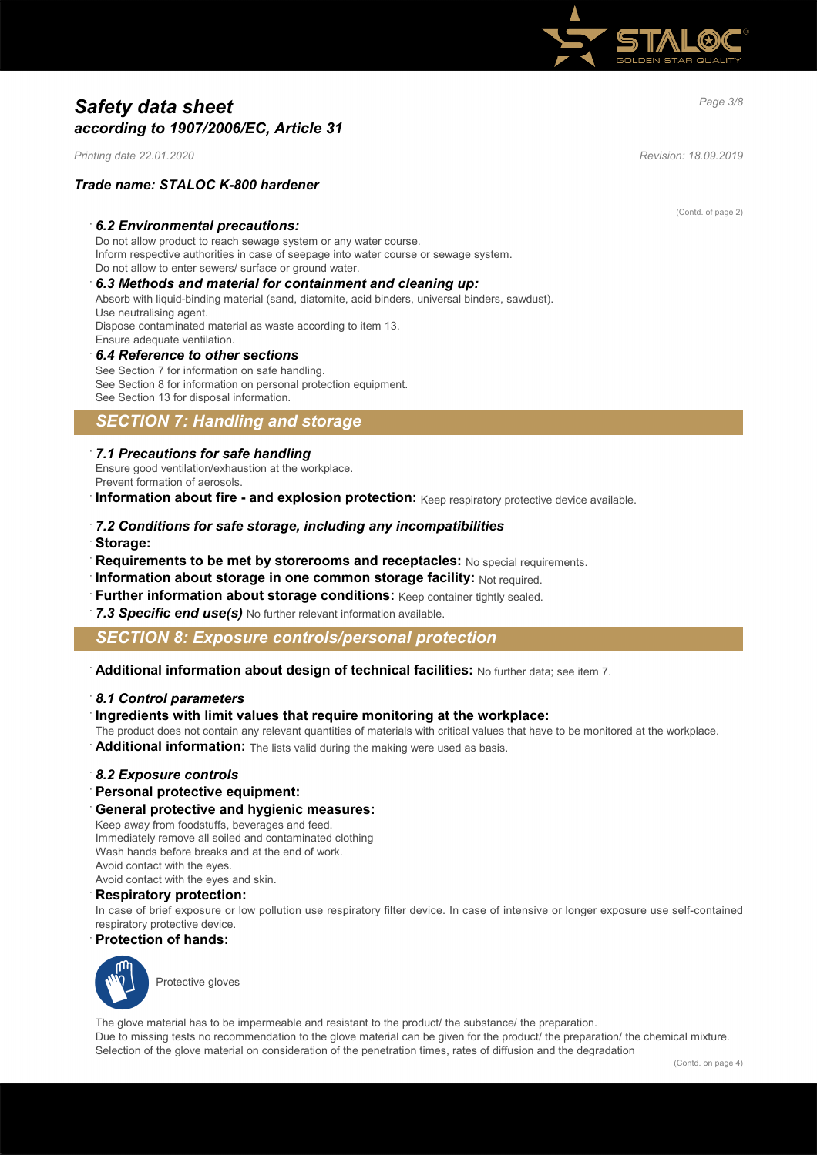

# *Page 3/8 Safety data sheet according to 1907/2006/EC, Article 31*

*Printing date 22.01.2020 Revision: 18.09.2019*

### *Trade name: STALOC K-800 hardener*

#### · *6.2 Environmental precautions:*

Do not allow product to reach sewage system or any water course. Inform respective authorities in case of seepage into water course or sewage system. Do not allow to enter sewers/ surface or ground water.

## · *6.3 Methods and material for containment and cleaning up:*

Absorb with liquid-binding material (sand, diatomite, acid binders, universal binders, sawdust). Use neutralising agent. Dispose contaminated material as waste according to item 13.

# Ensure adequate ventilation.

· *6.4 Reference to other sections* See Section 7 for information on safe handling. See Section 8 for information on personal protection equipment.

# See Section 13 for disposal information.

### *SECTION 7: Handling and storage*

#### · *7.1 Precautions for safe handling*

Ensure good ventilation/exhaustion at the workplace. Prevent formation of aerosols.

**Information about fire - and explosion protection:** Keep respiratory protective device available.

# · *7.2 Conditions for safe storage, including any incompatibilities*

· **Storage:**

- **Requirements to be met by storerooms and receptacles:** No special requirements.
- · **Information about storage in one common storage facility:** Not required.
- **Further information about storage conditions:** Keep container tightly sealed.
- 7.3 Specific end use(s) No further relevant information available.

### *SECTION 8: Exposure controls/personal protection*

· **Additional information about design of technical facilities:** No further data; see item 7.

#### · *8.1 Control parameters*

#### · **Ingredients with limit values that require monitoring at the workplace:**

The product does not contain any relevant quantities of materials with critical values that have to be monitored at the workplace.

· **Additional information:** The lists valid during the making were used as basis.

#### · *8.2 Exposure controls*

### · **Personal protective equipment:**

#### · **General protective and hygienic measures:**

Keep away from foodstuffs, beverages and feed. Immediately remove all soiled and contaminated clothing Wash hands before breaks and at the end of work. Avoid contact with the eyes. Avoid contact with the eyes and skin.

#### · **Respiratory protection:**

In case of brief exposure or low pollution use respiratory filter device. In case of intensive or longer exposure use self-contained respiratory protective device.

#### · **Protection of hands:**



The glove material has to be impermeable and resistant to the product/ the substance/ the preparation.

Due to missing tests no recommendation to the glove material can be given for the product/ the preparation/ the chemical mixture. Selection of the glove material on consideration of the penetration times, rates of diffusion and the degradation

(Contd. of page 2)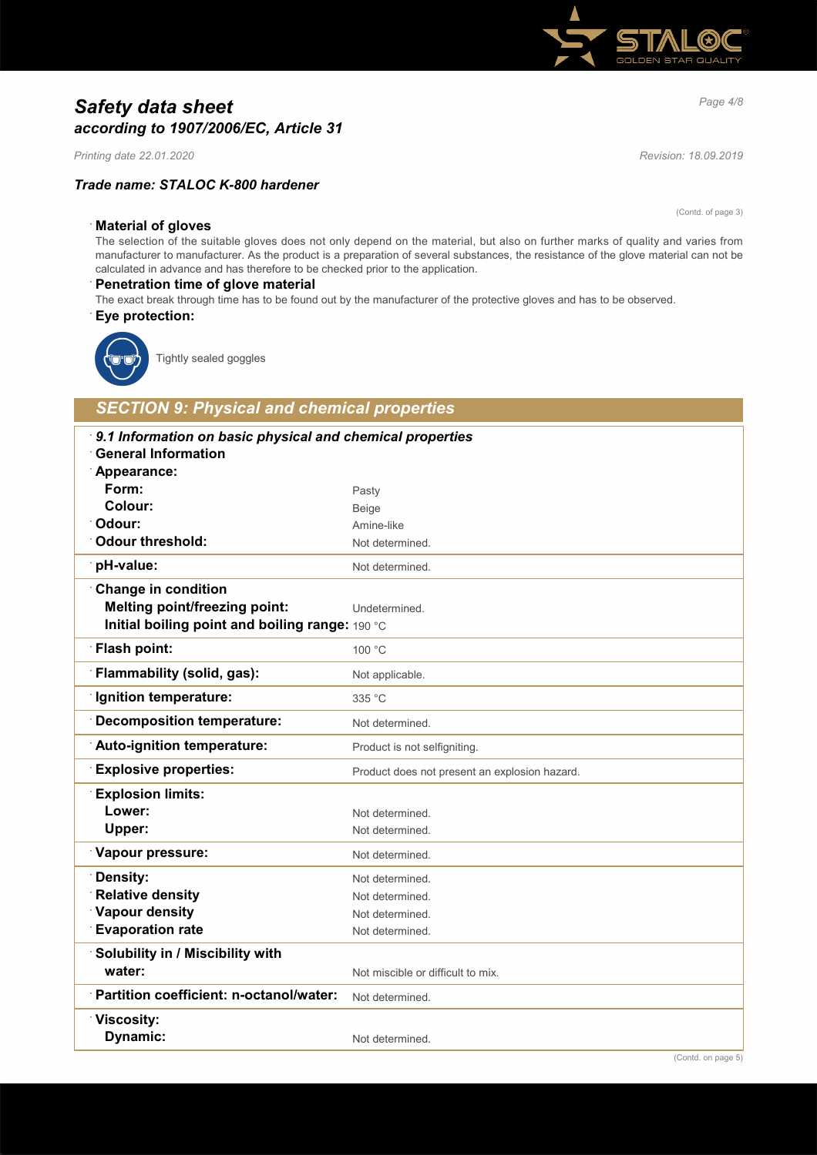# *Page 4/8 Safety data sheet according to 1907/2006/EC, Article 31*

*Printing date 22.01.2020 Revision: 18.09.2019*

### *Trade name: STALOC K-800 hardener*

(Contd. of page 3)

#### · **Material of gloves**

The selection of the suitable gloves does not only depend on the material, but also on further marks of quality and varies from manufacturer to manufacturer. As the product is a preparation of several substances, the resistance of the glove material can not be calculated in advance and has therefore to be checked prior to the application.

#### · **Penetration time of glove material**

The exact break through time has to be found out by the manufacturer of the protective gloves and has to be observed. · **Eye protection:**



Tightly sealed goggles

# *SECTION 9: Physical and chemical properties*

| 9.1 Information on basic physical and chemical properties<br><b>General Information</b> |                                               |  |
|-----------------------------------------------------------------------------------------|-----------------------------------------------|--|
| Appearance:                                                                             |                                               |  |
| Form:                                                                                   | Pasty                                         |  |
| Colour:                                                                                 | Beige                                         |  |
| Odour:                                                                                  | Amine-like                                    |  |
| <b>Odour threshold:</b>                                                                 | Not determined.                               |  |
| pH-value:                                                                               | Not determined.                               |  |
| <b>Change in condition</b>                                                              |                                               |  |
| <b>Melting point/freezing point:</b>                                                    | Undetermined.                                 |  |
| Initial boiling point and boiling range: 190 °C                                         |                                               |  |
| <b>Flash point:</b>                                                                     | 100 °C                                        |  |
| Flammability (solid, gas):                                                              | Not applicable.                               |  |
| <b>Ignition temperature:</b>                                                            | 335 °C                                        |  |
| <b>Decomposition temperature:</b>                                                       | Not determined.                               |  |
| Auto-ignition temperature:                                                              | Product is not selfigniting.                  |  |
| <b>Explosive properties:</b>                                                            | Product does not present an explosion hazard. |  |
| <b>Explosion limits:</b>                                                                |                                               |  |
| Lower:                                                                                  | Not determined.                               |  |
| Upper:                                                                                  | Not determined.                               |  |
| Vapour pressure:                                                                        | Not determined.                               |  |
| Density:                                                                                | Not determined.                               |  |
| <b>Relative density</b>                                                                 | Not determined.                               |  |
| Vapour density                                                                          | Not determined.                               |  |
| <b>Evaporation rate</b>                                                                 | Not determined.                               |  |
| Solubility in / Miscibility with                                                        |                                               |  |
| water:                                                                                  | Not miscible or difficult to mix.             |  |
| Partition coefficient: n-octanol/water:                                                 | Not determined.                               |  |
| <b><u>∶Viscosity:</u></b>                                                               |                                               |  |
| <b>Dynamic:</b>                                                                         | Not determined.                               |  |
|                                                                                         |                                               |  |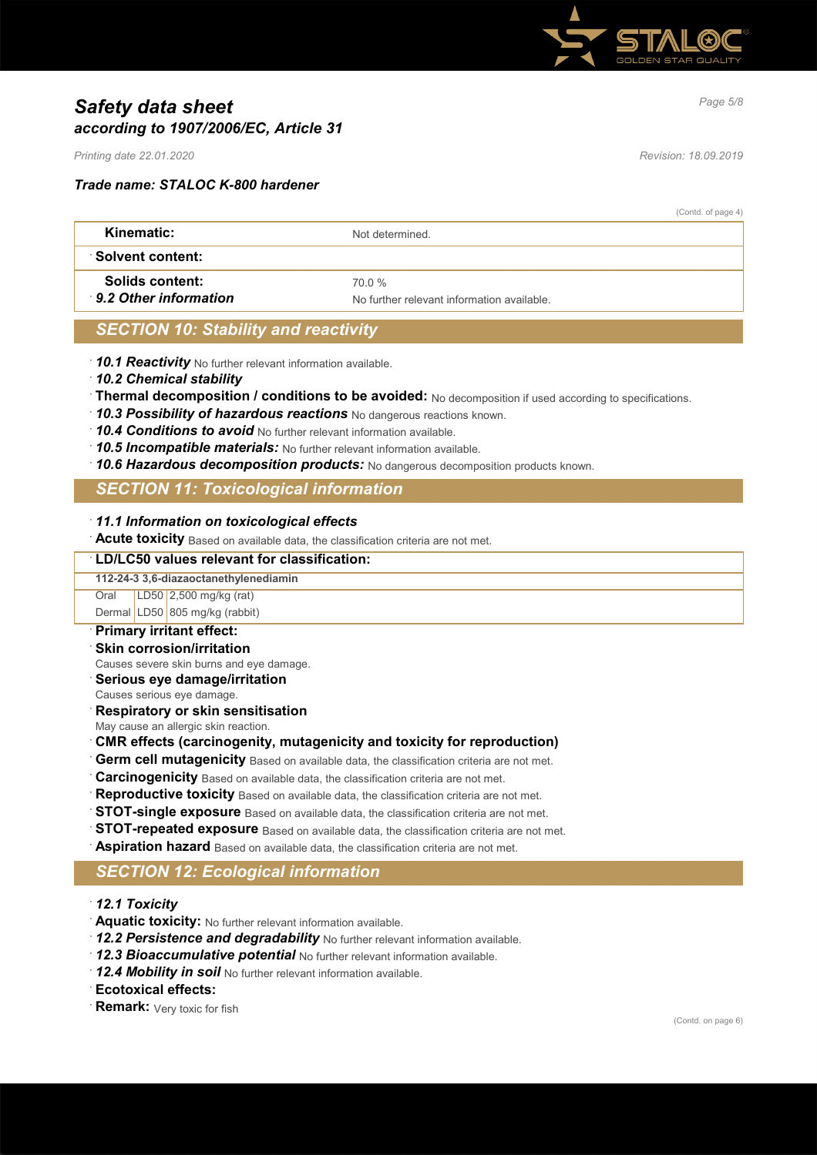

# *Page 5/8 Safety data sheet according to 1907/2006/EC, Article 31*

*Printing date 22.01.2020 Revision: 18.09.2019*

*Trade name: STALOC K-800 hardener*

(Contd. of page 4)

| Kinematic:            | Not determined                             |
|-----------------------|--------------------------------------------|
| ∴Solvent content:     |                                            |
| Solids content:       | 70 0 %                                     |
| 9.2 Other information | No further relevant information available. |

### *SECTION 10: Stability and reactivity*

· *10.1 Reactivity* No further relevant information available.

- · *10.2 Chemical stability*
- · **Thermal decomposition / conditions to be avoided:** No decomposition if used according to specifications.
- · *10.3 Possibility of hazardous reactions* No dangerous reactions known.
- · *10.4 Conditions to avoid* No further relevant information available.
- · *10.5 Incompatible materials:* No further relevant information available.
- · *10.6 Hazardous decomposition products:* No dangerous decomposition products known.

### *SECTION 11: Toxicological information*

#### · *11.1 Information on toxicological effects*

· **Acute toxicity** Based on available data, the classification criteria are not met.

#### · **LD/LC50 values relevant for classification:**

#### **112-24-3 3,6-diazaoctanethylenediamin**

Oral LD50 2,500 mg/kg (rat)

Dermal LD50 805 mg/kg (rabbit)

- · **Primary irritant effect:**
- **Skin corrosion/irritation**
- Causes severe skin burns and eye damage.
- · **Serious eye damage/irritation**
- Causes serious eye damage.
- · **Respiratory or skin sensitisation**
- May cause an allergic skin reaction.

### · **CMR effects (carcinogenity, mutagenicity and toxicity for reproduction)**

- **Germ cell mutagenicity** Based on available data, the classification criteria are not met.
- **Carcinogenicity** Based on available data, the classification criteria are not met.
- **Reproductive toxicity** Based on available data, the classification criteria are not met.
- **STOT-single exposure** Based on available data, the classification criteria are not met.
- **STOT-repeated exposure** Based on available data, the classification criteria are not met.
- Aspiration hazard Based on available data, the classification criteria are not met.

# *SECTION 12: Ecological information*

- · *12.1 Toxicity*
- · **Aquatic toxicity:** No further relevant information available.
- · *12.2 Persistence and degradability* No further relevant information available.
- 12.3 Bioaccumulative potential No further relevant information available.
- 12.4 Mobility in soil No further relevant information available.
- · **Ecotoxical effects:**
- **Remark:** Very toxic for fish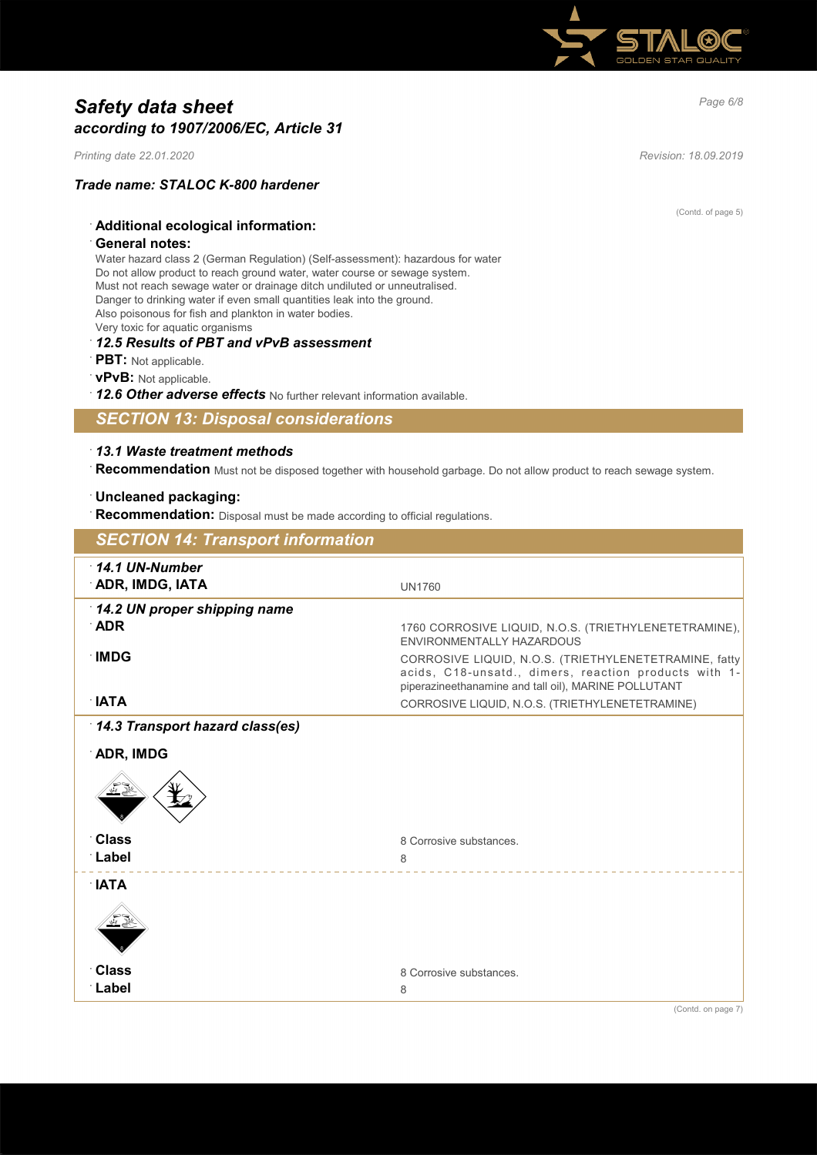

# *Page 6/8 Safety data sheet according to 1907/2006/EC, Article 31*

*Printing date 22.01.2020 Revision: 18.09.2019*

· **General notes:**

# *Trade name: STALOC K-800 hardener*

· **Additional ecological information:**

(Contd. of page 5)

Water hazard class 2 (German Regulation) (Self-assessment): hazardous for water Do not allow product to reach ground water, water course or sewage system. Must not reach sewage water or drainage ditch undiluted or unneutralised. Danger to drinking water if even small quantities leak into the ground. Also poisonous for fish and plankton in water bodies. Very toxic for aquatic organisms

#### · *12.5 Results of PBT and vPvB assessment*

- · **PBT:** Not applicable.
- · **vPvB:** Not applicable.
- · *12.6 Other adverse effects* No further relevant information available.

*SECTION 13: Disposal considerations*

#### · *13.1 Waste treatment methods*

· **Recommendation** Must not be disposed together with household garbage. Do not allow product to reach sewage system.

### · **Uncleaned packaging:**

**Recommendation:** Disposal must be made according to official regulations.

| <b>SECTION 14: Transport information</b>    |                                                                                                                                                                        |
|---------------------------------------------|------------------------------------------------------------------------------------------------------------------------------------------------------------------------|
| $\cdot$ 14.1 UN-Number<br>ADR, IMDG, IATA   | <b>UN1760</b>                                                                                                                                                          |
| 14.2 UN proper shipping name<br>$\Delta$ DR | 1760 CORROSIVE LIQUID, N.O.S. (TRIETHYLENETETRAMINE),<br><b>FNVIRONMENTALLY HAZARDOUS</b>                                                                              |
| <b>IMDG</b>                                 | CORROSIVE LIQUID, N.O.S. (TRIETHYLENETETRAMINE, fatty<br>acids, C18-unsatd., dimers, reaction products with 1-<br>piperazineethanamine and tall oil), MARINE POLLUTANT |
| $\mathsf{IATA}$                             | CORROSIVE LIQUID, N.O.S. (TRIETHYLENETETRAMINE)                                                                                                                        |
| 14.3 Transport hazard class(es)             |                                                                                                                                                                        |
| <b>ADR, IMDG</b>                            |                                                                                                                                                                        |
|                                             |                                                                                                                                                                        |
| <b>Class</b>                                | 8 Corrosive substances.                                                                                                                                                |
| ∴Label                                      | 8                                                                                                                                                                      |
| $\mathsf{IATA}$                             |                                                                                                                                                                        |
|                                             |                                                                                                                                                                        |
| <b>Class</b><br>∴Label                      | 8 Corrosive substances.<br>8                                                                                                                                           |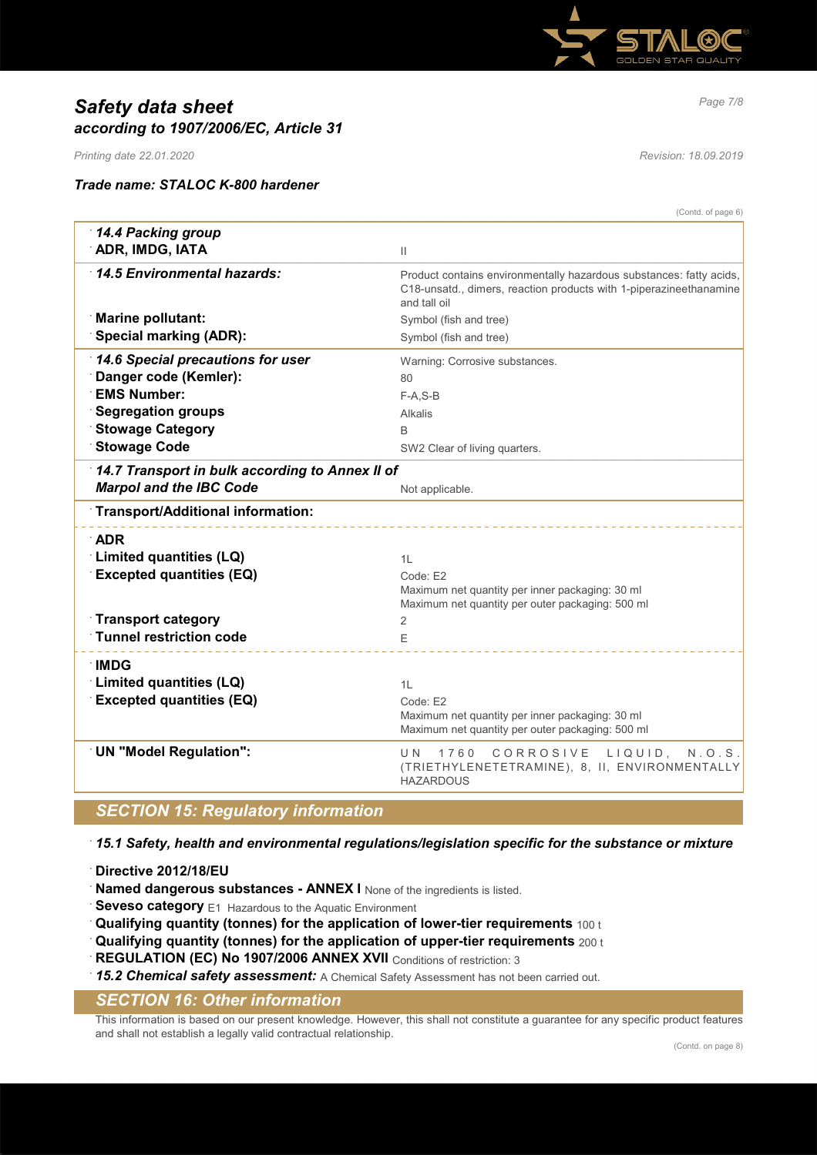

# *Page 7/8 Safety data sheet according to 1907/2006/EC, Article 31*

*Printing date 22.01.2020 Revision: 18.09.2019*

#### *Trade name: STALOC K-800 hardener*

(Contd. of page 6)

|                                                 | (Conta. or page b)                                                                                                                                        |
|-------------------------------------------------|-----------------------------------------------------------------------------------------------------------------------------------------------------------|
| 14.4 Packing group                              |                                                                                                                                                           |
| ADR, IMDG, IATA                                 | Ш                                                                                                                                                         |
| 14.5 Environmental hazards:                     | Product contains environmentally hazardous substances: fatty acids,<br>C18-unsatd., dimers, reaction products with 1-piperazineethanamine<br>and tall oil |
| <b>Marine pollutant:</b>                        | Symbol (fish and tree)                                                                                                                                    |
| <b>Special marking (ADR):</b>                   | Symbol (fish and tree)                                                                                                                                    |
| 14.6 Special precautions for user               | Warning: Corrosive substances.                                                                                                                            |
| Danger code (Kemler):                           | 80                                                                                                                                                        |
| <b>EMS Number:</b>                              | $F-A, S-B$                                                                                                                                                |
| <b>Segregation groups</b>                       | Alkalis                                                                                                                                                   |
| <b>Stowage Category</b>                         | B                                                                                                                                                         |
| <b>Stowage Code</b>                             | SW2 Clear of living quarters.                                                                                                                             |
| 14.7 Transport in bulk according to Annex II of |                                                                                                                                                           |
| <b>Marpol and the IBC Code</b>                  | Not applicable.                                                                                                                                           |
| Transport/Additional information:               |                                                                                                                                                           |
| $\Delta$ DR                                     |                                                                                                                                                           |
| Limited quantities (LQ)                         |                                                                                                                                                           |
|                                                 | 1L                                                                                                                                                        |
| <b>Excepted quantities (EQ)</b>                 | Code: F2<br>Maximum net quantity per inner packaging: 30 ml                                                                                               |
|                                                 | Maximum net quantity per outer packaging: 500 ml                                                                                                          |
| <b>Transport category</b>                       | 2                                                                                                                                                         |
| Tunnel restriction code                         | F                                                                                                                                                         |
|                                                 |                                                                                                                                                           |
| <b>IMDG</b>                                     |                                                                                                                                                           |
| Limited quantities (LQ)                         | 1L                                                                                                                                                        |
| <b>Excepted quantities (EQ)</b>                 | Code: E2                                                                                                                                                  |
|                                                 | Maximum net quantity per inner packaging: 30 ml                                                                                                           |
|                                                 | Maximum net quantity per outer packaging: 500 ml                                                                                                          |
| UN "Model Regulation":                          | U N<br>1760 CORROSIVE LIQUID, N.O.S.<br>(TRIETHYLENETETRAMINE), 8, II, ENVIRONMENTALLY<br><b>HAZARDOUS</b>                                                |
| <b>SECTION 15: Regulatory information</b>       |                                                                                                                                                           |
|                                                 |                                                                                                                                                           |

· *15.1 Safety, health and environmental regulations/legislation specific for the substance or mixture*

· **Directive 2012/18/EU**

Named dangerous substances - ANNEX I None of the ingredients is listed.

**Seveso category** E1 Hazardous to the Aquatic Environment

· **Qualifying quantity (tonnes) for the application of lower-tier requirements** 100 t

· **Qualifying quantity (tonnes) for the application of upper-tier requirements** 200 t

**REGULATION (EC) No 1907/2006 ANNEX XVII** Conditions of restriction: 3

15.2 Chemical safety assessment: A Chemical Safety Assessment has not been carried out.

# *SECTION 16: Other information*

This information is based on our present knowledge. However, this shall not constitute a guarantee for any specific product features and shall not establish a legally valid contractual relationship.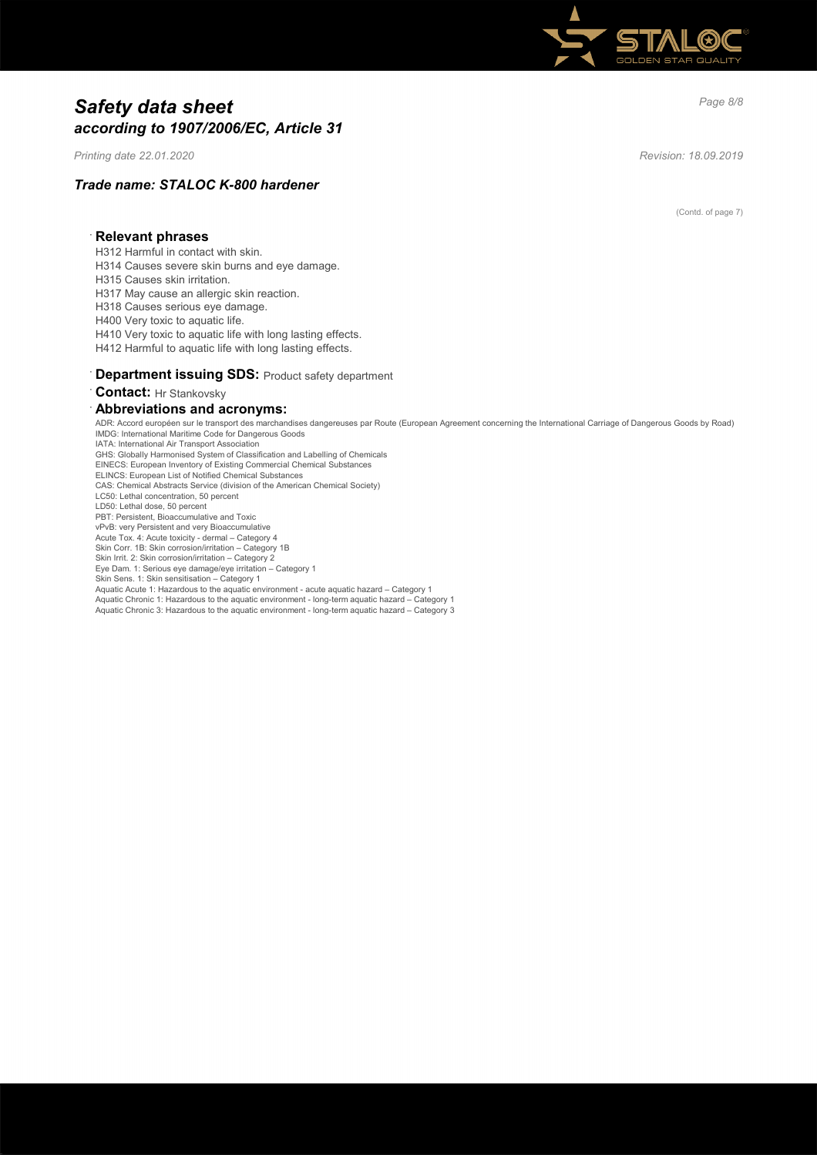

# *Page 8/8 Safety data sheet according to 1907/2006/EC, Article 31*

*Printing date 22.01.2020 Revision: 18.09.2019*

### *Trade name: STALOC K-800 hardener*

(Contd. of page 7)

#### · **Relevant phrases**

- H312 Harmful in contact with skin.
- H314 Causes severe skin burns and eye damage.
- H315 Causes skin irritation.
- H317 May cause an allergic skin reaction.
- H318 Causes serious eye damage.
- H400 Very toxic to aquatic life.
- H410 Very toxic to aquatic life with long lasting effects.
- H412 Harmful to aquatic life with long lasting effects.

#### **Department issuing SDS: Product safety department**

· **Contact:** Hr Stankovsky

#### · **Abbreviations and acronyms:**

ADR: Accord européen sur le transport des marchandises dangereuses par Route (European Agreement concerning the International Carriage of Dangerous Goods by Road) IMDG: International Maritime Code for Dangerous Goods IATA: International Air Transport Association GHS: Globally Harmonised System of Classification and Labelling of Chemicals EINECS: European Inventory of Existing Commercial Chemical Substances ELINCS: European List of Notified Chemical Substances CAS: Chemical Abstracts Service (division of the American Chemical Society) LC50: Lethal concentration, 50 percent LD50: Lethal dose, 50 percent PBT: Persistent, Bioaccumulative and Toxic vPvB: very Persistent and very Bioaccumulative Acute Tox. 4: Acute toxicity - dermal – Category 4 Skin Corr. 1B: Skin corrosion/irritation – Category 1B Skin Irrit. 2: Skin corrosion/irritation – Category 2 Eye Dam. 1: Serious eye damage/eye irritation – Category 1 Skin Sens. 1: Skin sensitisation – Category 1 Aquatic Acute 1: Hazardous to the aquatic environment - acute aquatic hazard – Category 1 Aquatic Chronic 1: Hazardous to the aquatic environment - long-term aquatic hazard – Category 1 Aquatic Chronic 3: Hazardous to the aquatic environment - long-term aquatic hazard – Category 3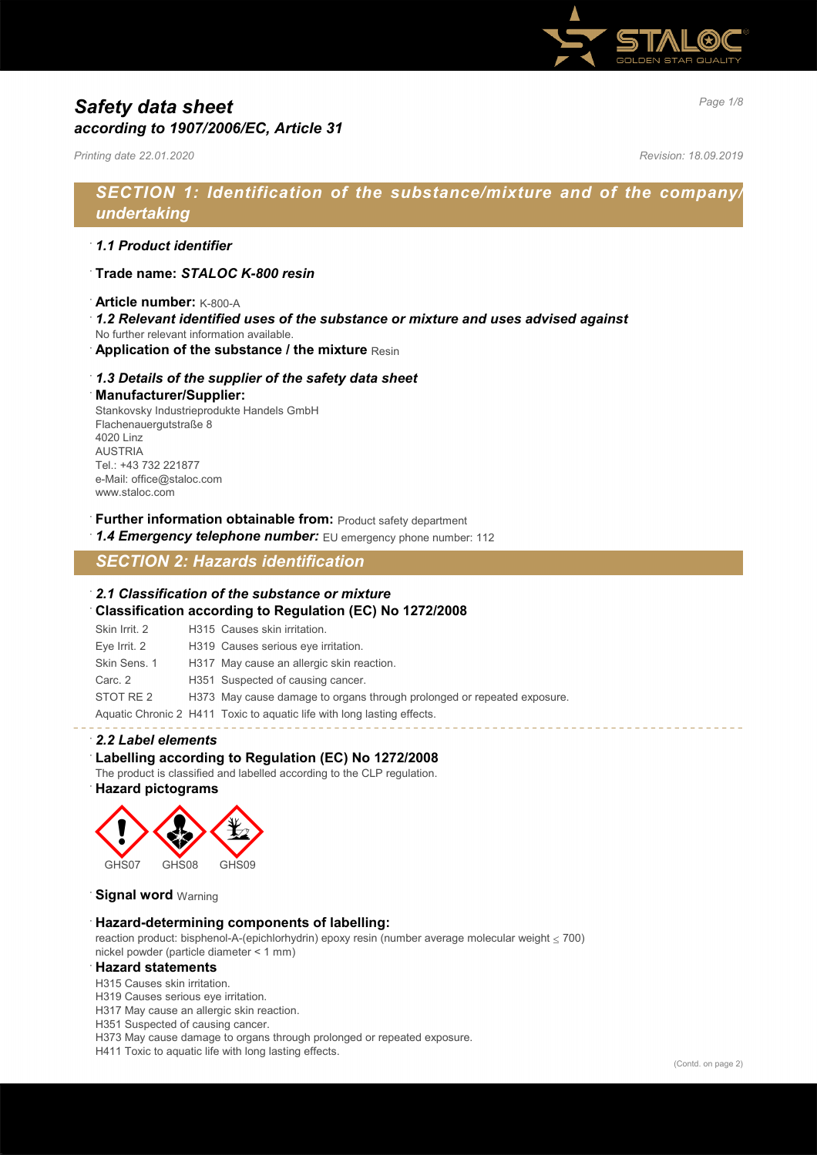

# *Page 1/8 Safety data sheet according to 1907/2006/EC, Article 31*

*Printing date 22.01.2020 Revision: 18.09.2019*

# *SECTION 1: Identification of the substance/mixture and of the company/ undertaking*

### · *1.1 Product identifier*

- · **Trade name:** *STALOC K-800 resin*
- · **Article number:** K-800-A
- · *1.2 Relevant identified uses of the substance or mixture and uses advised against*
- No further relevant information available.
- **Application of the substance / the mixture Resin**

#### · *1.3 Details of the supplier of the safety data sheet*

· **Manufacturer/Supplier:**

Stankovsky Industrieprodukte Handels GmbH Flachenauergutstraße 8 4020 Linz AUSTRIA Tel.: +43 732 221877 e-Mail: office@staloc.com www.staloc.com

- **Further information obtainable from:** Product safety department
- 1.4 **Emergency telephone number:** EU emergency phone number: 112

# *SECTION 2: Hazards identification*

#### · *2.1 Classification of the substance or mixture*

· **Classification according to Regulation (EC) No 1272/2008**

| Skin Irrit, 2 | H315 Causes skin irritation.                                            |
|---------------|-------------------------------------------------------------------------|
| Eye Irrit. 2  | H319 Causes serious eye irritation.                                     |
| Skin Sens. 1  | H317 May cause an allergic skin reaction.                               |
| Carc. 2       | H351 Suspected of causing cancer.                                       |
| STOT RE 2     | H373 May cause damage to organs through prolonged or repeated exposure. |
|               | Aquatic Chronic 2 H411 Toxic to aquatic life with long lasting effects. |

#### · *2.2 Label elements*

#### · **Labelling according to Regulation (EC) No 1272/2008**

The product is classified and labelled according to the CLP regulation.

### · **Hazard pictograms**



**Signal word Warning** 

#### · **Hazard-determining components of labelling:**

reaction product: bisphenol-A-(epichlorhydrin) epoxy resin (number average molecular weight  $\leq$  700) nickel powder (particle diameter < 1 mm)

#### · **Hazard statements**

H315 Causes skin irritation.

- H319 Causes serious eye irritation.
- H317 May cause an allergic skin reaction.
- H351 Suspected of causing cancer.

H373 May cause damage to organs through prolonged or repeated exposure.

H411 Toxic to aquatic life with long lasting effects.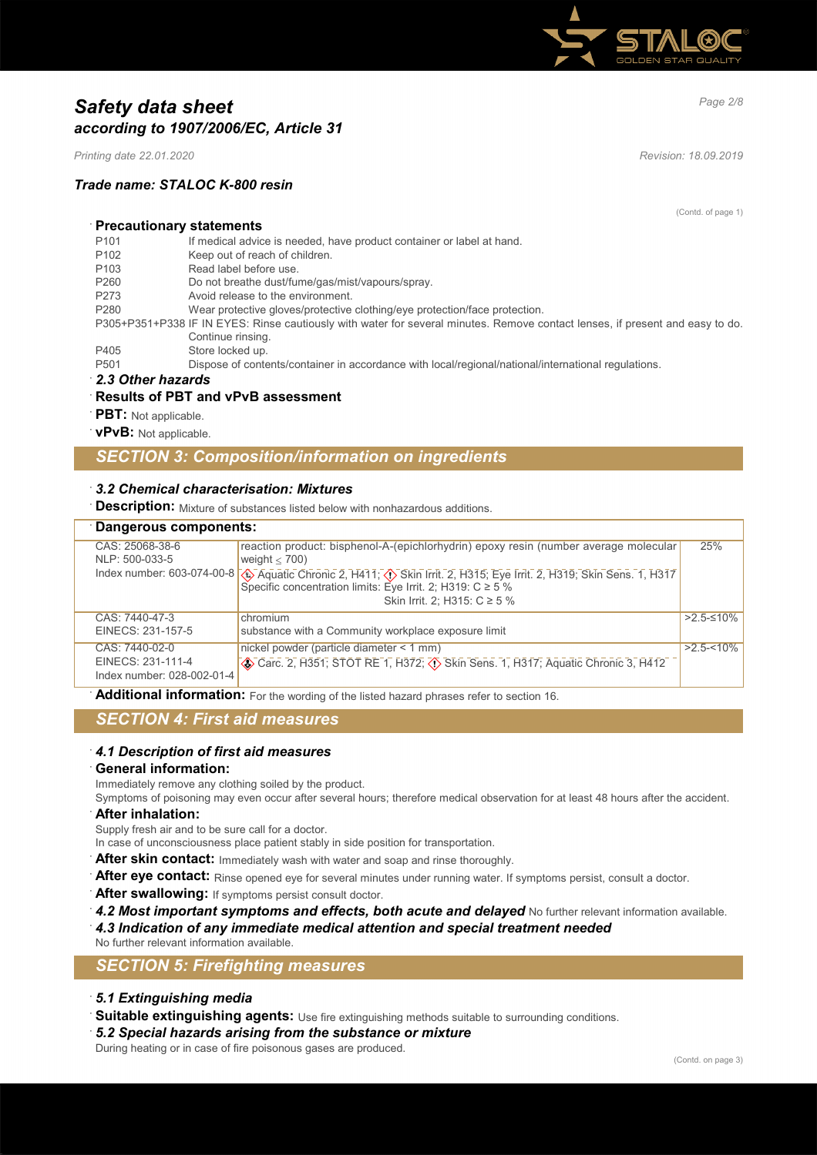

# *Page 2/8 Safety data sheet according to 1907/2006/EC, Article 31*

*Printing date 22.01.2020 Revision: 18.09.2019*

#### *Trade name: STALOC K-800 resin*

(Contd. of page 1)

# · **Precautionary statements**

| P <sub>101</sub>                                                                                                              | If medical advice is needed, have product container or label at hand.                               |  |
|-------------------------------------------------------------------------------------------------------------------------------|-----------------------------------------------------------------------------------------------------|--|
| P <sub>102</sub>                                                                                                              | Keep out of reach of children.                                                                      |  |
| P <sub>103</sub>                                                                                                              | Read label before use.                                                                              |  |
| P <sub>260</sub>                                                                                                              | Do not breathe dust/fume/gas/mist/vapours/spray.                                                    |  |
| P <sub>273</sub>                                                                                                              | Avoid release to the environment.                                                                   |  |
| P <sub>280</sub>                                                                                                              | Wear protective gloves/protective clothing/eye protection/face protection.                          |  |
| P305+P351+P338 IF IN EYES: Rinse cautiously with water for several minutes. Remove contact lenses, if present and easy to do. |                                                                                                     |  |
|                                                                                                                               | Continue rinsing.                                                                                   |  |
| P405                                                                                                                          | Store locked up.                                                                                    |  |
| P <sub>501</sub>                                                                                                              | Dispose of contents/container in accordance with local/regional/national/international regulations. |  |

### · *2.3 Other hazards*

### · **Results of PBT and vPvB assessment**

- · **PBT:** Not applicable.
- · **vPvB:** Not applicable.

### *SECTION 3: Composition/information on ingredients*

#### · *3.2 Chemical characterisation: Mixtures*

**Description:** Mixture of substances listed below with nonhazardous additions.

| Dangerous components:                           |                                                                                                                                             |               |
|-------------------------------------------------|---------------------------------------------------------------------------------------------------------------------------------------------|---------------|
| CAS: 25068-38-6                                 | reaction product: bisphenol-A-(epichlorhydrin) epoxy resin (number average molecular                                                        | 25%           |
| NLP: 500-033-5                                  | weight $<$ 700)                                                                                                                             |               |
|                                                 | Index number: 603-074-00-8 $\circled{3}$ Aquatic Chronic 2, H411; $\circled{3}$ Skin Irrit. 2, H315; Eye Irrit. 2, H319; Skin Sens. 1, H317 |               |
|                                                 | Skin Irrit. 2: H315: C ≥ 5 %                                                                                                                |               |
| CAS: 7440-47-3                                  | chromium                                                                                                                                    | $>2.5-10\%$   |
| EINECS: 231-157-5                               | substance with a Community workplace exposure limit                                                                                         |               |
| CAS: 7440-02-0                                  | nickel powder (particle diameter < 1 mm)                                                                                                    | $>2.5 - 10\%$ |
| EINECS: 231-111-4<br>Index number: 028-002-01-4 | Carc. 2, H351; STOT RE 1, H372; $\langle \rangle$ Skin Sens. 1, H317; Aquatic Chronic 3, H412                                               |               |

Additional information: For the wording of the listed hazard phrases refer to section 16.

### *SECTION 4: First aid measures*

# · *4.1 Description of first aid measures*

### · **General information:**

Immediately remove any clothing soiled by the product.

Symptoms of poisoning may even occur after several hours; therefore medical observation for at least 48 hours after the accident. · **After inhalation:**

Supply fresh air and to be sure call for a doctor.

In case of unconsciousness place patient stably in side position for transportation.

After skin contact: Immediately wash with water and soap and rinse thoroughly.

- After eye contact: Rinse opened eye for several minutes under running water. If symptoms persist, consult a doctor.
- After swallowing: If symptoms persist consult doctor.
- **4.2 Most important symptoms and effects, both acute and delayed** No further relevant information available.

· *4.3 Indication of any immediate medical attention and special treatment needed*

No further relevant information available.

### *SECTION 5: Firefighting measures*

- · *5.1 Extinguishing media*
- **Suitable extinguishing agents:** Use fire extinguishing methods suitable to surrounding conditions.

#### · *5.2 Special hazards arising from the substance or mixture*

During heating or in case of fire poisonous gases are produced.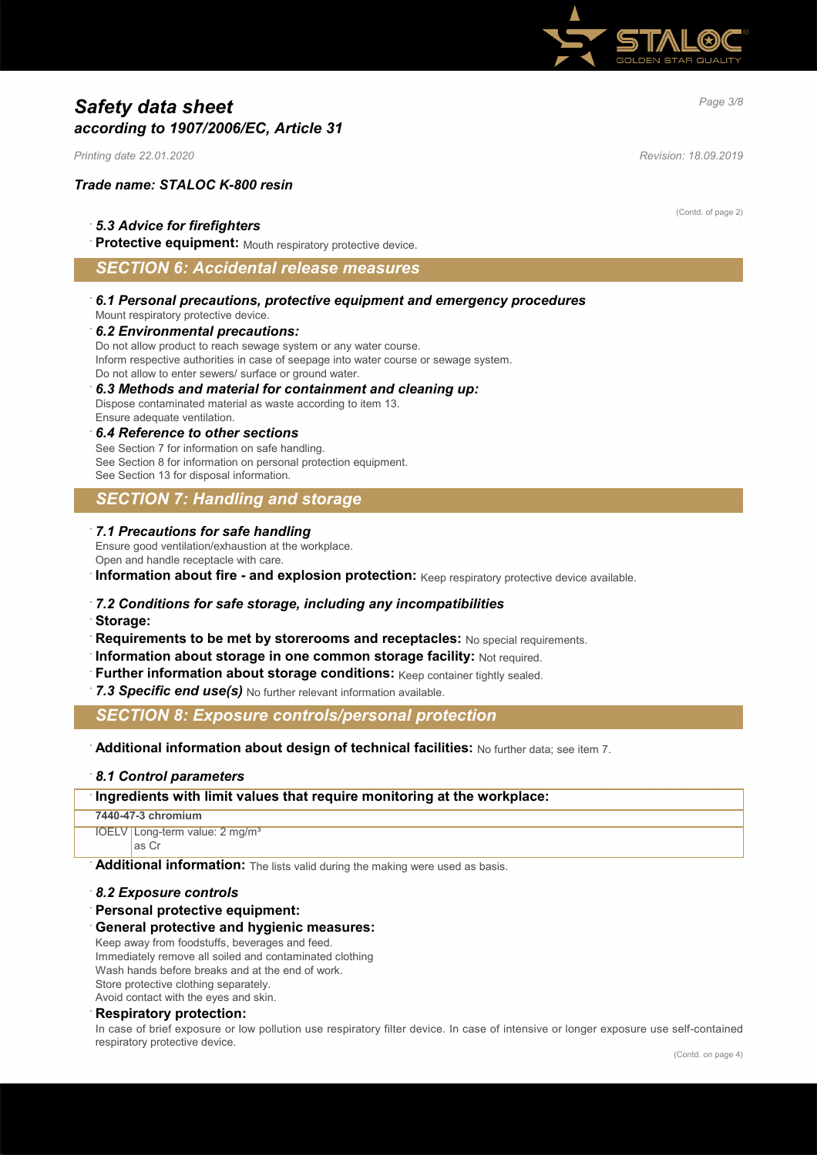

# *Page 3/8 Safety data sheet according to 1907/2006/EC, Article 31*

*Printing date 22.01.2020 Revision: 18.09.2019*

#### *Trade name: STALOC K-800 resin*

#### · *5.3 Advice for firefighters*

Protective equipment: Mouth respiratory protective device.

### *SECTION 6: Accidental release measures*

· *6.1 Personal precautions, protective equipment and emergency procedures* Mount respiratory protective device.

#### · *6.2 Environmental precautions:*

Do not allow product to reach sewage system or any water course. Inform respective authorities in case of seepage into water course or sewage system. Do not allow to enter sewers/ surface or ground water.

#### · *6.3 Methods and material for containment and cleaning up:*

Dispose contaminated material as waste according to item 13. Ensure adequate ventilation.

#### · *6.4 Reference to other sections*

See Section 7 for information on safe handling. See Section 8 for information on personal protection equipment. See Section 13 for disposal information.

### *SECTION 7: Handling and storage*

#### · *7.1 Precautions for safe handling*

Ensure good ventilation/exhaustion at the workplace.

Open and handle receptacle with care.

· **Information about fire - and explosion protection:** Keep respiratory protective device available.

#### · *7.2 Conditions for safe storage, including any incompatibilities*

· **Storage:**

- **Requirements to be met by storerooms and receptacles:** No special requirements.
- · **Information about storage in one common storage facility:** Not required.
- Further information about storage conditions: Keep container tightly sealed.
- 7.3 Specific end use(s) No further relevant information available.

*SECTION 8: Exposure controls/personal protection*

#### · **Additional information about design of technical facilities:** No further data; see item 7.

#### · *8.1 Control parameters*

#### · **Ingredients with limit values that require monitoring at the workplace:**

#### **7440-47-3 chromium**

IOELV Long-term value: 2 mg/m<sup>3</sup> as Cr

**Additional information:** The lists valid during the making were used as basis.

#### · *8.2 Exposure controls*

· **Personal protective equipment:**

#### · **General protective and hygienic measures:**

Keep away from foodstuffs, beverages and feed.

Immediately remove all soiled and contaminated clothing

Wash hands before breaks and at the end of work.

Store protective clothing separately. Avoid contact with the eyes and skin.

#### · **Respiratory protection:**

In case of brief exposure or low pollution use respiratory filter device. In case of intensive or longer exposure use self-contained respiratory protective device.

(Contd. of page 2)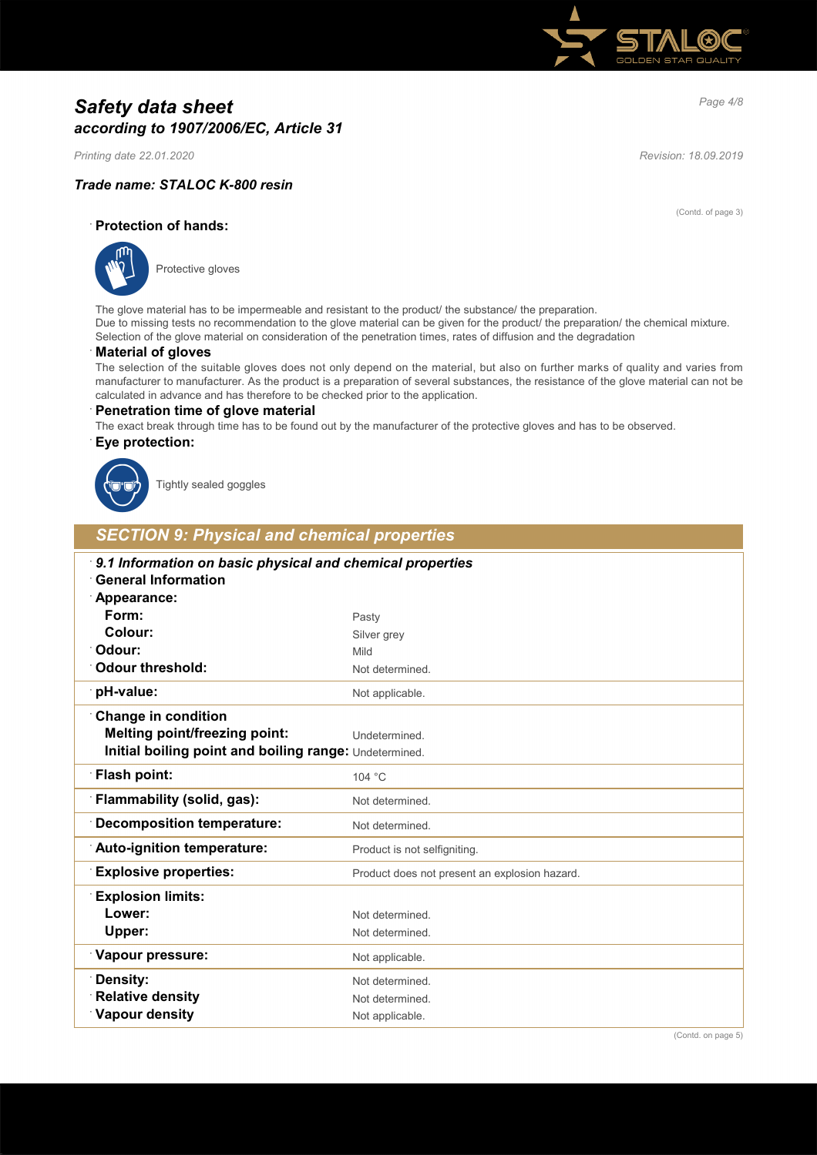

# *Page 4/8 Safety data sheet according to 1907/2006/EC, Article 31*

*Printing date 22.01.2020 Revision: 18.09.2019*

#### *Trade name: STALOC K-800 resin*

(Contd. of page 3)

### · **Protection of hands:**



Protective gloves

The glove material has to be impermeable and resistant to the product/ the substance/ the preparation. Due to missing tests no recommendation to the glove material can be given for the product/ the preparation/ the chemical mixture. Selection of the glove material on consideration of the penetration times, rates of diffusion and the degradation

#### · **Material of gloves**

The selection of the suitable gloves does not only depend on the material, but also on further marks of quality and varies from manufacturer to manufacturer. As the product is a preparation of several substances, the resistance of the glove material can not be calculated in advance and has therefore to be checked prior to the application.

#### · **Penetration time of glove material**

The exact break through time has to be found out by the manufacturer of the protective gloves and has to be observed.

#### · **Eye protection:**



Tightly sealed goggles

# *SECTION 9: Physical and chemical properties*

| 9.1 Information on basic physical and chemical properties<br><b>General Information</b> |                                               |  |
|-----------------------------------------------------------------------------------------|-----------------------------------------------|--|
| Appearance:                                                                             |                                               |  |
| Form:                                                                                   | Pasty                                         |  |
| Colour:                                                                                 | Silver grey                                   |  |
| Odour:                                                                                  | Mild                                          |  |
| <b>Odour threshold:</b>                                                                 | Not determined.                               |  |
| pH-value:                                                                               | Not applicable.                               |  |
| <b>Change in condition</b>                                                              |                                               |  |
| <b>Melting point/freezing point:</b>                                                    | Undetermined.                                 |  |
| Initial boiling point and boiling range: Undetermined.                                  |                                               |  |
| Flash point:                                                                            | 104 °C                                        |  |
| Flammability (solid, gas):                                                              | Not determined.                               |  |
| <b>Decomposition temperature:</b>                                                       | Not determined.                               |  |
| Auto-ignition temperature:                                                              | Product is not selfigniting.                  |  |
| <b>Explosive properties:</b>                                                            | Product does not present an explosion hazard. |  |
| <b>Explosion limits:</b>                                                                |                                               |  |
| Lower:                                                                                  | Not determined.                               |  |
| Upper:                                                                                  | Not determined.                               |  |
| Vapour pressure:                                                                        | Not applicable.                               |  |
| Density:                                                                                | Not determined.                               |  |
| <b>Relative density</b>                                                                 | Not determined.                               |  |
| Vapour density                                                                          | Not applicable.                               |  |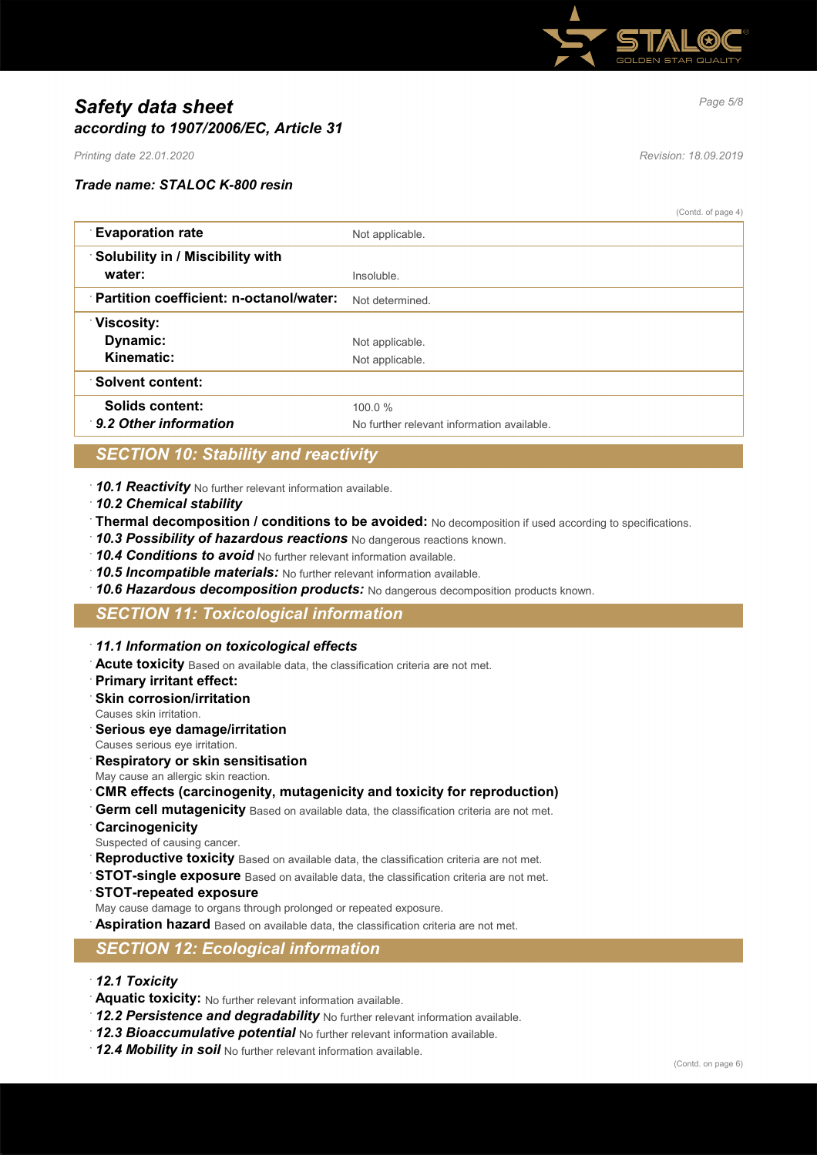

# *Page 5/8 Safety data sheet according to 1907/2006/EC, Article 31*

*Printing date 22.01.2020 Revision: 18.09.2019*

#### *Trade name: STALOC K-800 resin*

(Contd. of page 4)

| <b>Evaporation rate</b>                   | Not applicable.                            |
|-------------------------------------------|--------------------------------------------|
| $\cdot$ Solubility in / Miscibility with  |                                            |
| water:                                    | Insoluble                                  |
| : Partition coefficient: n-octanol/water: | Not determined.                            |
| <b>Viscosity:</b>                         |                                            |
| Dynamic:                                  | Not applicable.                            |
| Kinematic:                                | Not applicable.                            |
| <b>Solvent content:</b>                   |                                            |
| Solids content:                           | 100.0%                                     |
| 9.2 Other information                     | No further relevant information available. |

# *SECTION 10: Stability and reactivity*

- · *10.1 Reactivity* No further relevant information available.
- · *10.2 Chemical stability*
- · **Thermal decomposition / conditions to be avoided:** No decomposition if used according to specifications.
- · *10.3 Possibility of hazardous reactions* No dangerous reactions known.
- · *10.4 Conditions to avoid* No further relevant information available.
- · *10.5 Incompatible materials:* No further relevant information available.
- · *10.6 Hazardous decomposition products:* No dangerous decomposition products known.

### *SECTION 11: Toxicological information*

- · *11.1 Information on toxicological effects*
- · **Acute toxicity** Based on available data, the classification criteria are not met.
- · **Primary irritant effect:**
- **Skin corrosion/irritation**
- Causes skin irritation.
- · **Serious eye damage/irritation**
- Causes serious eye irritation.
- · **Respiratory or skin sensitisation**
- May cause an allergic skin reaction.
- · **CMR effects (carcinogenity, mutagenicity and toxicity for reproduction)**
- Germ cell mutagenicity Based on available data, the classification criteria are not met.
- · **Carcinogenicity**
- Suspected of causing cancer.
- Reproductive toxicity Based on available data, the classification criteria are not met.
- **STOT-single exposure** Based on available data, the classification criteria are not met.
- · **STOT-repeated exposure**
- May cause damage to organs through prolonged or repeated exposure.
- Aspiration hazard Based on available data, the classification criteria are not met.

### *SECTION 12: Ecological information*

- · *12.1 Toxicity*
- · **Aquatic toxicity:** No further relevant information available.
- · *12.2 Persistence and degradability* No further relevant information available.
- · *12.3 Bioaccumulative potential* No further relevant information available.
- · *12.4 Mobility in soil* No further relevant information available.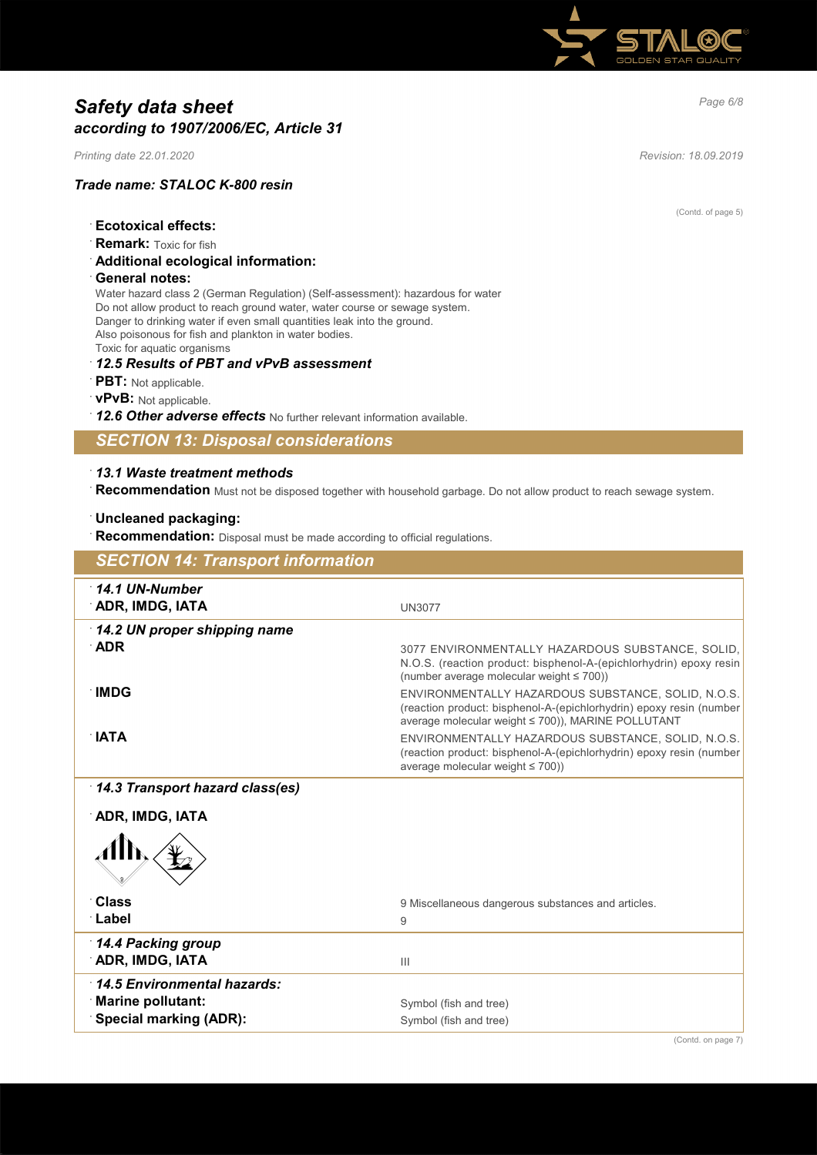

# *Page 6/8 Safety data sheet according to 1907/2006/EC, Article 31*

*Printing date 22.01.2020 Revision: 18.09.2019*

(Contd. of page 5)

### *Trade name: STALOC K-800 resin*

- · **Ecotoxical effects:**
- **Remark:** Toxic for fish
- · **Additional ecological information:**
- · **General notes:**

Water hazard class 2 (German Regulation) (Self-assessment): hazardous for water Do not allow product to reach ground water, water course or sewage system. Danger to drinking water if even small quantities leak into the ground. Also poisonous for fish and plankton in water bodies. Toxic for aquatic organisms

#### · *12.5 Results of PBT and vPvB assessment*

- · **PBT:** Not applicable.
- · **vPvB:** Not applicable.
- · *12.6 Other adverse effects* No further relevant information available.

### *SECTION 13: Disposal considerations*

### · *13.1 Waste treatment methods*

· **Recommendation** Must not be disposed together with household garbage. Do not allow product to reach sewage system.

#### · **Uncleaned packaging:**

Recommendation: Disposal must be made according to official regulations.

| <b>SECTION 14: Transport information</b> |                                                                                                                                                                                 |
|------------------------------------------|---------------------------------------------------------------------------------------------------------------------------------------------------------------------------------|
| $\cdot$ 14.1 UN-Number                   |                                                                                                                                                                                 |
| <b>ADR, IMDG, IATA</b>                   | <b>UN3077</b>                                                                                                                                                                   |
| 14.2 UN proper shipping name             |                                                                                                                                                                                 |
| $\Delta$ DR                              | 3077 ENVIRONMENTALLY HAZARDOUS SUBSTANCE, SOLID.<br>N.O.S. (reaction product: bisphenol-A-(epichlorhydrin) epoxy resin<br>(number average molecular weight $\leq 700$ ))        |
| ∙IMDG                                    | ENVIRONMENTALLY HAZARDOUS SUBSTANCE, SOLID, N.O.S.<br>(reaction product: bisphenol-A-(epichlorhydrin) epoxy resin (number<br>average molecular weight ≤ 700)), MARINE POLLUTANT |
| $\mathsf{IATA}$                          | ENVIRONMENTALLY HAZARDOUS SUBSTANCE, SOLID, N.O.S.<br>(reaction product: bisphenol-A-(epichlorhydrin) epoxy resin (number<br>average molecular weight $\leq 700$ ))             |
| 14.3 Transport hazard class(es)          |                                                                                                                                                                                 |
| ADR, IMDG, IATA                          |                                                                                                                                                                                 |
|                                          |                                                                                                                                                                                 |
| <b>Class</b>                             | 9 Miscellaneous dangerous substances and articles.                                                                                                                              |
| ∴Label                                   | 9                                                                                                                                                                               |
| 14.4 Packing group                       |                                                                                                                                                                                 |
| <b>ADR, IMDG, IATA</b>                   | $\mathbf{III}$                                                                                                                                                                  |
| 14.5 Environmental hazards:              |                                                                                                                                                                                 |
| <b>Marine pollutant:</b>                 | Symbol (fish and tree)                                                                                                                                                          |
| <b>Special marking (ADR):</b>            | Symbol (fish and tree)                                                                                                                                                          |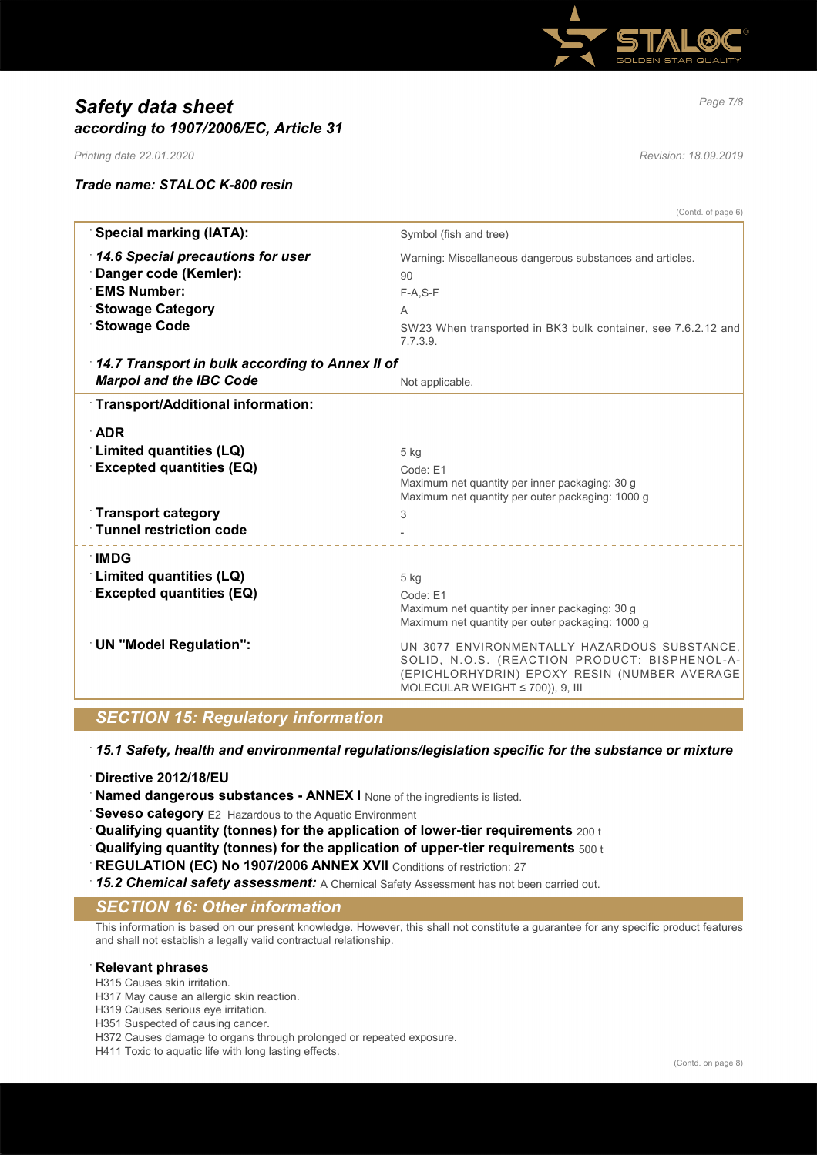

# *Page 7/8 Safety data sheet according to 1907/2006/EC, Article 31*

*Printing date 22.01.2020 Revision: 18.09.2019*

#### *Trade name: STALOC K-800 resin*

(Contd. of page 6)

| <b>Special marking (IATA):</b>                                                                                                          | Symbol (fish and tree)                                                                                                                                                                 |
|-----------------------------------------------------------------------------------------------------------------------------------------|----------------------------------------------------------------------------------------------------------------------------------------------------------------------------------------|
| 14.6 Special precautions for user<br>Danger code (Kemler):<br><b>EMS Number:</b><br><b>Stowage Category</b><br><b>Stowage Code</b>      | Warning: Miscellaneous dangerous substances and articles.<br>90<br>$F-A, S-F$<br>A<br>SW23 When transported in BK3 bulk container, see 7.6.2.12 and<br>7.7.3.9.                        |
| 14.7 Transport in bulk according to Annex II of<br><b>Marpol and the IBC Code</b>                                                       | Not applicable.                                                                                                                                                                        |
| Transport/Additional information:                                                                                                       |                                                                                                                                                                                        |
| <b>ADR</b><br>Limited quantities (LQ)<br><b>Excepted quantities (EQ)</b><br><b>Transport category</b><br><b>Tunnel restriction code</b> | $5$ kg<br>Code: E1<br>Maximum net quantity per inner packaging: 30 g<br>Maximum net quantity per outer packaging: 1000 g<br>3                                                          |
| ∴IMDG<br>Limited quantities (LQ)<br><b>Excepted quantities (EQ)</b>                                                                     | $5$ kg<br>Code: F1<br>Maximum net quantity per inner packaging: 30 g<br>Maximum net quantity per outer packaging: 1000 g                                                               |
| <b>UN "Model Regulation":</b>                                                                                                           | UN 3077 ENVIRONMENTALLY HAZARDOUS SUBSTANCE,<br>SOLID, N.O.S. (REACTION PRODUCT: BISPHENOL-A-<br>(EPICHLORHYDRIN) EPOXY RESIN (NUMBER AVERAGE<br>MOLECULAR WEIGHT $\leq$ 700)), 9, III |

## *SECTION 15: Regulatory information*

· *15.1 Safety, health and environmental regulations/legislation specific for the substance or mixture*

- · **Directive 2012/18/EU**
- **Named dangerous substances ANNEX I** None of the ingredients is listed.
- **Seveso category** E2 Hazardous to the Aquatic Environment
- · **Qualifying quantity (tonnes) for the application of lower-tier requirements** 200 t
- · **Qualifying quantity (tonnes) for the application of upper-tier requirements** 500 t
- **REGULATION (EC) No 1907/2006 ANNEX XVII** Conditions of restriction: 27
- · *15.2 Chemical safety assessment:* A Chemical Safety Assessment has not been carried out.

# *SECTION 16: Other information*

This information is based on our present knowledge. However, this shall not constitute a guarantee for any specific product features and shall not establish a legally valid contractual relationship.

#### · **Relevant phrases**

H315 Causes skin irritation.

- H317 May cause an allergic skin reaction.
- H319 Causes serious eye irritation.
- H351 Suspected of causing cancer.
- H372 Causes damage to organs through prolonged or repeated exposure.
- H411 Toxic to aquatic life with long lasting effects.